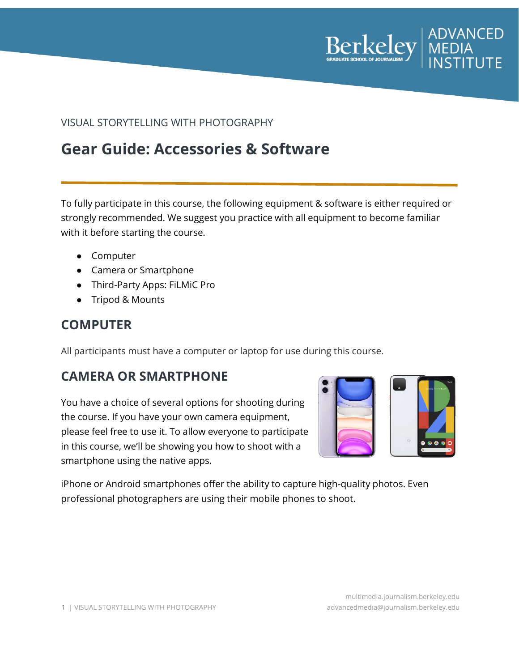

#### VISUAL STORYTELLING WITH PHOTOGRAPHY

# **Gear Guide: Accessories & Software**

To fully participate in this course, the following equipment & software is either required or strongly recommended. We suggest you practice with all equipment to become familiar with it before starting the course.

- Computer
- Camera or Smartphone
- Third-Party Apps: FiLMiC Pro
- Tripod & Mounts

#### **COMPUTER**

All participants must have a computer or laptop for use during this course.

### **CAMERA OR SMARTPHONE**

You have a choice of several options for shooting during the course. If you have your own camera equipment, please feel free to use it. To allow everyone to participate in this course, we'll be showing you how to shoot with a smartphone using the native apps.



iPhone or Android smartphones offer the ability to capture high-quality photos. Even professional photographers are using their mobile phones to shoot.